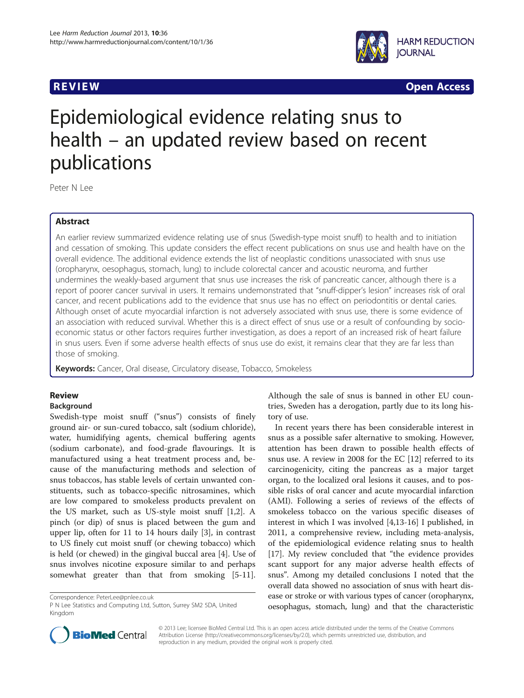

**REVIEW CONSTRUCTION CONSTRUCTION CONSTRUCTION CONSTRUCTS** 

# Epidemiological evidence relating snus to health – an updated review based on recent publications

Peter N Lee

# Abstract

An earlier review summarized evidence relating use of snus (Swedish-type moist snuff) to health and to initiation and cessation of smoking. This update considers the effect recent publications on snus use and health have on the overall evidence. The additional evidence extends the list of neoplastic conditions unassociated with snus use (oropharynx, oesophagus, stomach, lung) to include colorectal cancer and acoustic neuroma, and further undermines the weakly-based argument that snus use increases the risk of pancreatic cancer, although there is a report of poorer cancer survival in users. It remains undemonstrated that "snuff-dipper's lesion" increases risk of oral cancer, and recent publications add to the evidence that snus use has no effect on periodontitis or dental caries. Although onset of acute myocardial infarction is not adversely associated with snus use, there is some evidence of an association with reduced survival. Whether this is a direct effect of snus use or a result of confounding by socioeconomic status or other factors requires further investigation, as does a report of an increased risk of heart failure in snus users. Even if some adverse health effects of snus use do exist, it remains clear that they are far less than those of smoking.

Keywords: Cancer, Oral disease, Circulatory disease, Tobacco, Smokeless

# Review

# Background

Swedish-type moist snuff ("snus") consists of finely ground air- or sun-cured tobacco, salt (sodium chloride), water, humidifying agents, chemical buffering agents (sodium carbonate), and food-grade flavourings. It is manufactured using a heat treatment process and, because of the manufacturing methods and selection of snus tobaccos, has stable levels of certain unwanted constituents, such as tobacco-specific nitrosamines, which are low compared to smokeless products prevalent on the US market, such as US-style moist snuff [\[1,2](#page-5-0)]. A pinch (or dip) of snus is placed between the gum and upper lip, often for 11 to 14 hours daily [[3\]](#page-5-0), in contrast to US finely cut moist snuff (or chewing tobacco) which is held (or chewed) in the gingival buccal area [\[4](#page-5-0)]. Use of snus involves nicotine exposure similar to and perhaps somewhat greater than that from smoking [[5-11](#page-5-0)].

Although the sale of snus is banned in other EU countries, Sweden has a derogation, partly due to its long history of use.

In recent years there has been considerable interest in snus as a possible safer alternative to smoking. However, attention has been drawn to possible health effects of snus use. A review in 2008 for the EC [\[12](#page-5-0)] referred to its carcinogenicity, citing the pancreas as a major target organ, to the localized oral lesions it causes, and to possible risks of oral cancer and acute myocardial infarction (AMI). Following a series of reviews of the effects of smokeless tobacco on the various specific diseases of interest in which I was involved [[4,13-16\]](#page-5-0) I published, in 2011, a comprehensive review, including meta-analysis, of the epidemiological evidence relating snus to health [[17\]](#page-5-0). My review concluded that "the evidence provides scant support for any major adverse health effects of snus". Among my detailed conclusions I noted that the overall data showed no association of snus with heart disease or stroke or with various types of cancer (oropharynx, oesophagus, stomach, lung) and that the characteristic



© 2013 Lee; licensee BioMed Central Ltd. This is an open access article distributed under the terms of the Creative Commons Attribution License (<http://creativecommons.org/licenses/by/2.0>), which permits unrestricted use, distribution, and reproduction in any medium, provided the original work is properly cited.

Correspondence: [PeterLee@pnlee.co.uk](mailto:PeterLee@pnlee.co.uk)

P N Lee Statistics and Computing Ltd, Sutton, Surrey SM2 5DA, United Kingdom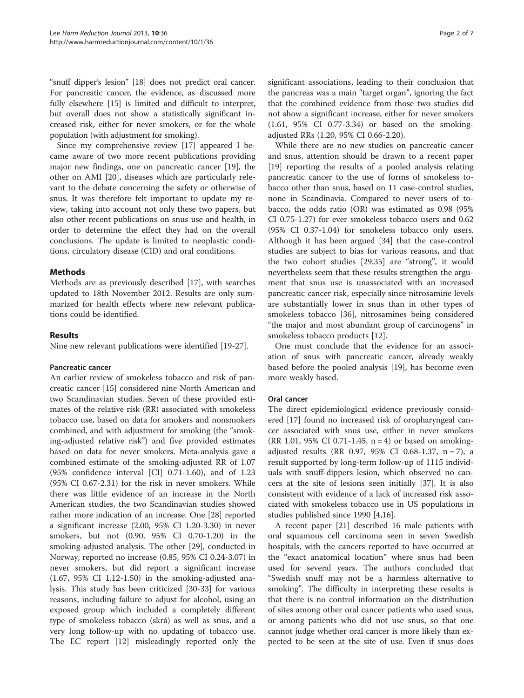"snuff dipper's lesion" [\[18](#page-5-0)] does not predict oral cancer. For pancreatic cancer, the evidence, as discussed more fully elsewhere [\[15\]](#page-5-0) is limited and difficult to interpret, but overall does not show a statistically significant increased risk, either for never smokers, or for the whole population (with adjustment for smoking).

Since my comprehensive review [[17](#page-5-0)] appeared I became aware of two more recent publications providing major new findings, one on pancreatic cancer [\[19](#page-5-0)], the other on AMI [[20](#page-5-0)], diseases which are particularly relevant to the debate concerning the safety or otherwise of snus. It was therefore felt important to update my review, taking into account not only these two papers, but also other recent publications on snus use and health, in order to determine the effect they had on the overall conclusions. The update is limited to neoplastic conditions, circulatory disease (CID) and oral conditions.

# Methods

Methods are as previously described [[17\]](#page-5-0), with searches updated to 18th November 2012. Results are only summarized for health effects where new relevant publications could be identified.

# Results

Nine new relevant publications were identified [[19-27](#page-5-0)].

# Pancreatic cancer

An earlier review of smokeless tobacco and risk of pancreatic cancer [[15\]](#page-5-0) considered nine North American and two Scandinavian studies. Seven of these provided estimates of the relative risk (RR) associated with smokeless tobacco use, based on data for smokers and nonsmokers combined, and with adjustment for smoking (the "smoking-adjusted relative risk") and five provided estimates based on data for never smokers. Meta-analysis gave a combined estimate of the smoking-adjusted RR of 1.07 (95% confidence interval [CI] 0.71-1.60), and of 1.23 (95% CI 0.67-2.31) for the risk in never smokers. While there was little evidence of an increase in the North American studies, the two Scandinavian studies showed rather more indication of an increase. One [[28](#page-5-0)] reported a significant increase (2.00, 95% CI 1.20-3.30) in never smokers, but not (0.90, 95% CI 0.70-1.20) in the smoking-adjusted analysis. The other [[29](#page-5-0)], conducted in Norway, reported no increase (0.85, 95% CI 0.24-3.07) in never smokers, but did report a significant increase (1.67, 95% CI 1.12-1.50) in the smoking-adjusted analysis. This study has been criticized [\[30](#page-6-0)-[33\]](#page-6-0) for various reasons, including failure to adjust for alcohol, using an exposed group which included a completely different type of smokeless tobacco (skrá) as well as snus, and a very long follow-up with no updating of tobacco use. The EC report [\[12\]](#page-5-0) misleadingly reported only the

significant associations, leading to their conclusion that the pancreas was a main "target organ", ignoring the fact that the combined evidence from those two studies did not show a significant increase, either for never smokers (1.61, 95% CI 0.77-3.34) or based on the smokingadjusted RRs (1.20, 95% CI 0.66-2.20).

While there are no new studies on pancreatic cancer and snus, attention should be drawn to a recent paper [[19\]](#page-5-0) reporting the results of a pooled analysis relating pancreatic cancer to the use of forms of smokeless tobacco other than snus, based on 11 case-control studies, none in Scandinavia. Compared to never users of tobacco, the odds ratio (OR) was estimated as 0.98 (95% CI 0.75-1.27) for ever smokeless tobacco users and 0.62 (95% CI 0.37-1.04) for smokeless tobacco only users. Although it has been argued [[34\]](#page-6-0) that the case-control studies are subject to bias for various reasons, and that the two cohort studies [\[29](#page-5-0)[,35\]](#page-6-0) are "strong", it would nevertheless seem that these results strengthen the argument that snus use is unassociated with an increased pancreatic cancer risk, especially since nitrosamine levels are substantially lower in snus than in other types of smokeless tobacco [\[36\]](#page-6-0), nitrosamines being considered "the major and most abundant group of carcinogens" in smokeless tobacco products [\[12](#page-5-0)].

One must conclude that the evidence for an association of snus with pancreatic cancer, already weakly based before the pooled analysis [[19\]](#page-5-0), has become even more weakly based.

# Oral cancer

The direct epidemiological evidence previously considered [\[17\]](#page-5-0) found no increased risk of oropharyngeal cancer associated with snus use, either in never smokers (RR 1.01, 95% CI 0.71-1.45,  $n = 4$ ) or based on smokingadjusted results (RR 0.97, 95% CI 0.68-1.37, n = 7), a result supported by long-term follow-up of 1115 individuals with snuff-dippers lesion, which observed no cancers at the site of lesions seen initially [\[37](#page-6-0)]. It is also consistent with evidence of a lack of increased risk associated with smokeless tobacco use in US populations in studies published since 1990 [[4](#page-5-0),[16](#page-5-0)].

A recent paper [[21\]](#page-5-0) described 16 male patients with oral squamous cell carcinoma seen in seven Swedish hospitals, with the cancers reported to have occurred at the "exact anatomical location" where snus had been used for several years. The authors concluded that "Swedish snuff may not be a harmless alternative to smoking". The difficulty in interpreting these results is that there is no control information on the distribution of sites among other oral cancer patients who used snus, or among patients who did not use snus, so that one cannot judge whether oral cancer is more likely than expected to be seen at the site of use. Even if snus does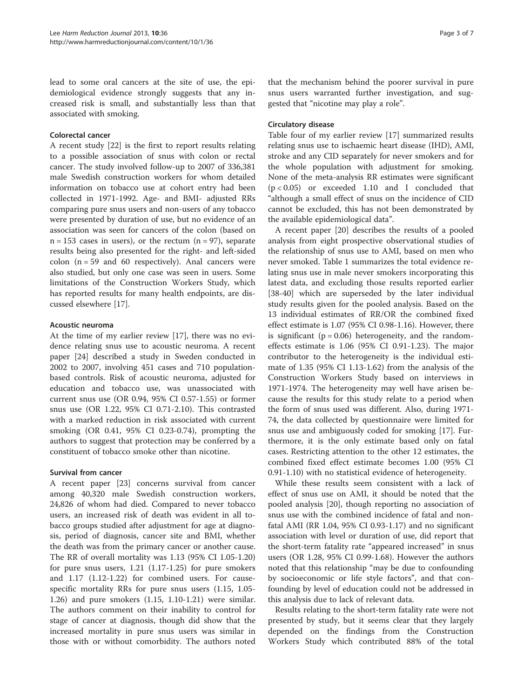lead to some oral cancers at the site of use, the epidemiological evidence strongly suggests that any increased risk is small, and substantially less than that associated with smoking.

# Colorectal cancer

A recent study [\[22](#page-5-0)] is the first to report results relating to a possible association of snus with colon or rectal cancer. The study involved follow-up to 2007 of 336,381 male Swedish construction workers for whom detailed information on tobacco use at cohort entry had been collected in 1971-1992. Age- and BMI- adjusted RRs comparing pure snus users and non-users of any tobacco were presented by duration of use, but no evidence of an association was seen for cancers of the colon (based on  $n = 153$  cases in users), or the rectum  $(n = 97)$ , separate results being also presented for the right- and left-sided colon  $(n = 59$  and 60 respectively). Anal cancers were also studied, but only one case was seen in users. Some limitations of the Construction Workers Study, which has reported results for many health endpoints, are discussed elsewhere [\[17](#page-5-0)].

# Acoustic neuroma

At the time of my earlier review [\[17](#page-5-0)], there was no evidence relating snus use to acoustic neuroma. A recent paper [[24\]](#page-5-0) described a study in Sweden conducted in 2002 to 2007, involving 451 cases and 710 populationbased controls. Risk of acoustic neuroma, adjusted for education and tobacco use, was unassociated with current snus use (OR 0.94, 95% CI 0.57-1.55) or former snus use (OR 1.22, 95% CI 0.71-2.10). This contrasted with a marked reduction in risk associated with current smoking (OR 0.41, 95% CI 0.23-0.74), prompting the authors to suggest that protection may be conferred by a constituent of tobacco smoke other than nicotine.

# Survival from cancer

A recent paper [[23](#page-5-0)] concerns survival from cancer among 40,320 male Swedish construction workers, 24,826 of whom had died. Compared to never tobacco users, an increased risk of death was evident in all tobacco groups studied after adjustment for age at diagnosis, period of diagnosis, cancer site and BMI, whether the death was from the primary cancer or another cause. The RR of overall mortality was 1.13 (95% CI 1.05-1.20) for pure snus users, 1.21 (1.17-1.25) for pure smokers and 1.17 (1.12-1.22) for combined users. For causespecific mortality RRs for pure snus users (1.15, 1.05- 1.26) and pure smokers (1.15, 1.10-1.21) were similar. The authors comment on their inability to control for stage of cancer at diagnosis, though did show that the increased mortality in pure snus users was similar in those with or without comorbidity. The authors noted that the mechanism behind the poorer survival in pure snus users warranted further investigation, and suggested that "nicotine may play a role".

# Circulatory disease

Table four of my earlier review [[17](#page-5-0)] summarized results relating snus use to ischaemic heart disease (IHD), AMI, stroke and any CID separately for never smokers and for the whole population with adjustment for smoking. None of the meta-analysis RR estimates were significant (p < 0.05) or exceeded 1.10 and I concluded that "although a small effect of snus on the incidence of CID cannot be excluded, this has not been demonstrated by the available epidemiological data".

A recent paper [[20\]](#page-5-0) describes the results of a pooled analysis from eight prospective observational studies of the relationship of snus use to AMI, based on men who never smoked. Table [1](#page-3-0) summarizes the total evidence relating snus use in male never smokers incorporating this latest data, and excluding those results reported earlier [[38-40](#page-6-0)] which are superseded by the later individual study results given for the pooled analysis. Based on the 13 individual estimates of RR/OR the combined fixed effect estimate is 1.07 (95% CI 0.98-1.16). However, there is significant  $(p = 0.06)$  heterogeneity, and the randomeffects estimate is 1.06 (95% CI 0.91-1.23). The major contributor to the heterogeneity is the individual estimate of 1.35 (95% CI 1.13-1.62) from the analysis of the Construction Workers Study based on interviews in 1971-1974. The heterogeneity may well have arisen because the results for this study relate to a period when the form of snus used was different. Also, during 1971- 74, the data collected by questionnaire were limited for snus use and ambiguously coded for smoking [\[17](#page-5-0)]. Furthermore, it is the only estimate based only on fatal cases. Restricting attention to the other 12 estimates, the combined fixed effect estimate becomes 1.00 (95% CI 0.91-1.10) with no statistical evidence of heterogeneity.

While these results seem consistent with a lack of effect of snus use on AMI, it should be noted that the pooled analysis [\[20](#page-5-0)], though reporting no association of snus use with the combined incidence of fatal and nonfatal AMI (RR 1.04, 95% CI 0.93-1.17) and no significant association with level or duration of use, did report that the short-term fatality rate "appeared increased" in snus users (OR 1.28, 95% CI 0.99-1.68). However the authors noted that this relationship "may be due to confounding by socioeconomic or life style factors", and that confounding by level of education could not be addressed in this analysis due to lack of relevant data.

Results relating to the short-term fatality rate were not presented by study, but it seems clear that they largely depended on the findings from the Construction Workers Study which contributed 88% of the total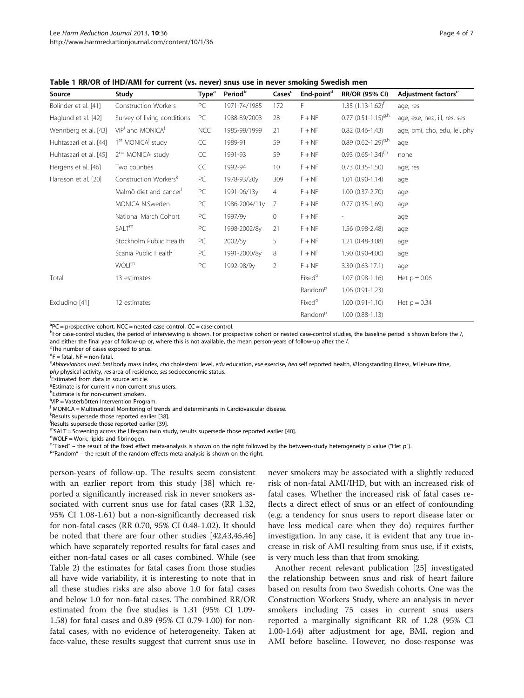<span id="page-3-0"></span>Table 1 RR/OR of IHD/AMI for current (vs. never) snus use in never smoking Swedish men

| Source                 | Study                                     | Type <sup>a</sup> | Period <sup>b</sup> | Cases <sup>c</sup> | End-point <sup>d</sup> | <b>RR/OR (95% CI)</b>        | Adjustment factors <sup>e</sup> |
|------------------------|-------------------------------------------|-------------------|---------------------|--------------------|------------------------|------------------------------|---------------------------------|
| Bolinder et al. [41]   | <b>Construction Workers</b>               | PC                | 1971-74/1985        | 172                | F.                     | $1.35(1.13-1.62)^{t}$        | age, res                        |
| Haglund et al. [42]    | Survey of living conditions               | PC                | 1988-89/2003        | 28                 | $F + NF$               | $0.77$ $(0.51 - 1.15)^{9,h}$ | age, exe, hea, ill, res, ses    |
| Wennberg et al. [43]   | VIP <sup>i</sup> and MONICA <sup>j</sup>  | <b>NCC</b>        | 1985-99/1999        | 21                 | $F + NF$               | $0.82(0.46-1.43)$            | age, bmi, cho, edu, lei, phy    |
| Huhtasaari et al. [44] | 1 <sup>st</sup> MONICA <sup>j</sup> study | CC                | 1989-91             | 59                 | $F + NF$               | 0.89 $(0.62 - 1.29)^{9,h}$   | age                             |
| Huhtasaari et al. [45] | 2 <sup>nd</sup> MONICA <sup>j</sup> study | CC                | 1991-93             | 59                 | $F + NF$               | $0.93$ $(0.65 - 1.34)^{t,h}$ | none                            |
| Hergens et al. [46]    | Two counties                              | CC                | 1992-94             | 10                 | $F + NF$               | $0.73(0.35-1.50)$            | age, res                        |
| Hansson et al. [20]    | Construction Workers <sup>k</sup>         | PC                | 1978-93/20y         | 309                | $F + NF$               | $1.01(0.90-1.14)$            | age                             |
|                        | Malmö diet and cancer                     | PC                | 1991-96/13y         | $\overline{4}$     | $F + NF$               | $1.00(0.37 - 2.70)$          | age                             |
|                        | MONICA N.Sweden                           | PC                | 1986-2004/11y       | 7                  | $F + NF$               | $0.77(0.35-1.69)$            | age                             |
|                        | National March Cohort                     | PC                | 1997/9y             | 0                  | $F + NF$               |                              | age                             |
|                        | SALT <sup>m</sup>                         | PC                | 1998-2002/8y        | 21                 | $F + NF$               | 1.56 (0.98-2.48)             | age                             |
|                        | Stockholm Public Health                   | PC                | 2002/5y             | 5                  | $F + NF$               | 1.21 (0.48-3.08)             | age                             |
|                        | Scania Public Health                      | PC                | 1991-2000/8y        | 8                  | $F + NF$               | 1.90 (0.90-4.00)             | age                             |
|                        | <b>WOLF</b> <sup>n</sup>                  | PC                | 1992-98/9y          | $\overline{2}$     | $F + NF$               | 3.30 (0.63-17.1)             | age                             |
| Total                  | 13 estimates                              |                   |                     |                    | Fixed <sup>o</sup>     | $1.07(0.98-1.16)$            | Het $p = 0.06$                  |
|                        |                                           |                   |                     |                    | Random <sup>p</sup>    | $1.06(0.91-1.23)$            |                                 |
| Excluding [41]         | 12 estimates                              |                   |                     |                    | Fixed <sup>o</sup>     | $1.00(0.91 - 1.10)$          | Het $p = 0.34$                  |
|                        |                                           |                   |                     |                    | Random <sup>p</sup>    | $1.00(0.88-1.13)$            |                                 |

<sup>a</sup>PC = prospective cohort, NCC = nested case-control, CC = case-control.

bFor case-control studies, the period of interviewing is shown. For prospective cohort or nested case-control studies, the baseline period is shown before the /, and either the final year of follow-up or, where this is not available, the mean person-years of follow-up after the /.

<sup>c</sup>The number of cases exposed to snus.

<sup>d</sup>F = fatal, NF = non-fatal.

enbbreviations used: bmi body mass index, cho cholesterol level, edu education, exe exercise, hea self reported health, ill longstanding illness, lei leisure time, phy physical activity, res area of residence, ses socioeconomic status.

Estimated from data in source article.

<sup>g</sup>Estimate is for current v non-current snus users.

h Estimate is for non-current smokers.

i VIP = Vasterbötten Intervention Program.

<sup>j</sup> MONICA = Multinational Monitoring of trends and determinants in Cardiovascular disease.

k<br>Results supersede those reported earlier [[38](#page-6-0)].<br>Pesults supersede those reported earlier [39]

Results supersede those reported earlier [[39\]](#page-6-0).<br>"SALT = Screening across the lifespan twin study, results supersede those reported earlier [\[40](#page-6-0)].

WOLF = Work, lipids and fibrinogen.

<sup>o</sup>"Fixed" – the result of the fixed effect meta-analysis is shown on the right followed by the between-study heterogeneity p value ("Het p").<br>P"Pandom" – the result of the random-effects meta-analysis is shown on the righ

 $P''$ Random" – the result of the random-effects meta-analysis is shown on the right.

person-years of follow-up. The results seem consistent with an earlier report from this study [\[38\]](#page-6-0) which reported a significantly increased risk in never smokers associated with current snus use for fatal cases (RR 1.32, 95% CI 1.08-1.61) but a non-significantly decreased risk for non-fatal cases (RR 0.70, 95% CI 0.48-1.02). It should be noted that there are four other studies [[42](#page-6-0),[43](#page-6-0),[45](#page-6-0),[46](#page-6-0)] which have separately reported results for fatal cases and either non-fatal cases or all cases combined. While (see Table [2](#page-4-0)) the estimates for fatal cases from those studies all have wide variability, it is interesting to note that in all these studies risks are also above 1.0 for fatal cases and below 1.0 for non-fatal cases. The combined RR/OR estimated from the five studies is 1.31 (95% CI 1.09- 1.58) for fatal cases and 0.89 (95% CI 0.79-1.00) for nonfatal cases, with no evidence of heterogeneity. Taken at face-value, these results suggest that current snus use in

never smokers may be associated with a slightly reduced risk of non-fatal AMI/IHD, but with an increased risk of fatal cases. Whether the increased risk of fatal cases reflects a direct effect of snus or an effect of confounding (e.g. a tendency for snus users to report disease later or have less medical care when they do) requires further investigation. In any case, it is evident that any true increase in risk of AMI resulting from snus use, if it exists, is very much less than that from smoking.

Another recent relevant publication [[25](#page-5-0)] investigated the relationship between snus and risk of heart failure based on results from two Swedish cohorts. One was the Construction Workers Study, where an analysis in never smokers including 75 cases in current snus users reported a marginally significant RR of 1.28 (95% CI 1.00-1.64) after adjustment for age, BMI, region and AMI before baseline. However, no dose-response was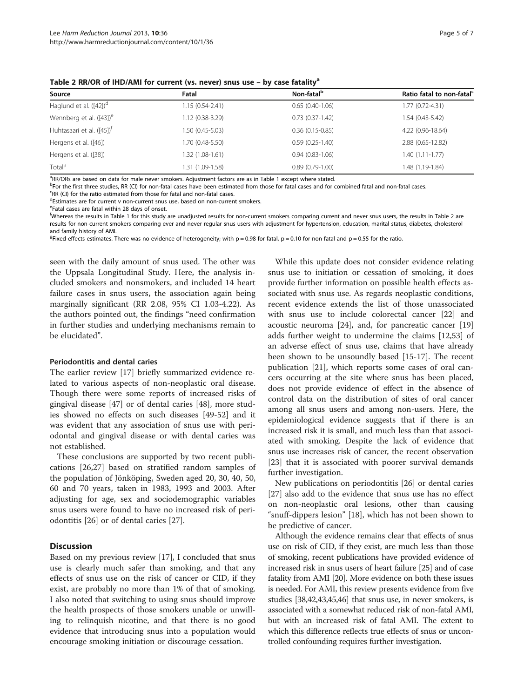| Source                                | Fatal            | Non-fatal <sup>b</sup> | Ratio fatal to non-fatal <sup>c</sup> |
|---------------------------------------|------------------|------------------------|---------------------------------------|
| Haglund et al. $([42])^d$             | 1.15 (0.54-2.41) | $0.65(0.40-1.06)$      | $1.77(0.72 - 4.31)$                   |
| Wennberg et al. $([43])^e$            | 1.12 (0.38-3.29) | $0.73(0.37-1.42)$      | $1.54(0.43-5.42)$                     |
| Huhtasaari et al. ([45]) <sup>†</sup> | 1.50 (0.45-5.03) | $0.36(0.15-0.85)$      | 4.22 (0.96-18.64)                     |
| Hergens et al. ([46])                 | 1.70 (0.48-5.50) | $0.59(0.25-1.40)$      | 2.88 (0.65-12.82)                     |
| Hergens et al. ([38])                 | 1.32 (1.08-1.61) | $0.94(0.83-1.06)$      | $1.40(1.11-1.77)$                     |
| Total <sup>9</sup>                    | 1.31 (1.09-1.58) | $0.89(0.79-1.00)$      | 1.48 (1.19-1.84)                      |

<span id="page-4-0"></span>Table 2 RR/OR of IHD/AMI for current (vs. never) snus use - by case fatality<sup>a</sup>

<sup>a</sup>RR/ORs are based on data for male never smokers. Adjustment factors are as in Table [1](#page-3-0) except where stated.<br>PEor the first three studies, PR (CI) for pon-fatal cases have been estimated from those for fatal cases and for

<sup>b</sup>For the first three studies, RR (CI) for non-fatal cases have been estimated from those for fatal cases and for combined fatal and non-fatal cases.

<sup>c</sup>RR (CI) for the ratio estimated from those for fatal and non-fatal cases.

<sup>d</sup>Estimates are for current v non-current snus use, based on non-current smokers.

e Fatal cases are fatal within 28 days of onset.

f Whereas the results in Table [1](#page-3-0) for this study are unadjusted results for non-current smokers comparing current and never snus users, the results in Table 2 are results for non-current smokers comparing ever and never regular snus users with adjustment for hypertension, education, marital status, diabetes, cholesterol and family history of AMI.

 $^{9}$ Fixed-effects estimates. There was no evidence of heterogeneity; with p = 0.98 for fatal, p = 0.10 for non-fatal and p = 0.55 for the ratio.

seen with the daily amount of snus used. The other was the Uppsala Longitudinal Study. Here, the analysis included smokers and nonsmokers, and included 14 heart failure cases in snus users, the association again being marginally significant (RR 2.08, 95% CI 1.03-4.22). As the authors pointed out, the findings "need confirmation in further studies and underlying mechanisms remain to be elucidated".

# Periodontitis and dental caries

The earlier review [[17](#page-5-0)] briefly summarized evidence related to various aspects of non-neoplastic oral disease. Though there were some reports of increased risks of gingival disease [[47\]](#page-6-0) or of dental caries [[48\]](#page-6-0), more studies showed no effects on such diseases [[49-52\]](#page-6-0) and it was evident that any association of snus use with periodontal and gingival disease or with dental caries was not established.

These conclusions are supported by two recent publications [[26,27\]](#page-5-0) based on stratified random samples of the population of Jönköping, Sweden aged 20, 30, 40, 50, 60 and 70 years, taken in 1983, 1993 and 2003. After adjusting for age, sex and sociodemographic variables snus users were found to have no increased risk of periodontitis [[26\]](#page-5-0) or of dental caries [[27\]](#page-5-0).

# **Discussion**

Based on my previous review [\[17](#page-5-0)], I concluded that snus use is clearly much safer than smoking, and that any effects of snus use on the risk of cancer or CID, if they exist, are probably no more than 1% of that of smoking. I also noted that switching to using snus should improve the health prospects of those smokers unable or unwilling to relinquish nicotine, and that there is no good evidence that introducing snus into a population would encourage smoking initiation or discourage cessation.

While this update does not consider evidence relating snus use to initiation or cessation of smoking, it does provide further information on possible health effects associated with snus use. As regards neoplastic conditions, recent evidence extends the list of those unassociated with snus use to include colorectal cancer [[22](#page-5-0)] and acoustic neuroma [[24\]](#page-5-0), and, for pancreatic cancer [[19](#page-5-0)] adds further weight to undermine the claims [[12](#page-5-0),[53](#page-6-0)] of an adverse effect of snus use, claims that have already been shown to be unsoundly based [[15](#page-5-0)-[17\]](#page-5-0). The recent publication [[21\]](#page-5-0), which reports some cases of oral cancers occurring at the site where snus has been placed, does not provide evidence of effect in the absence of control data on the distribution of sites of oral cancer among all snus users and among non-users. Here, the epidemiological evidence suggests that if there is an increased risk it is small, and much less than that associated with smoking. Despite the lack of evidence that snus use increases risk of cancer, the recent observation [[23\]](#page-5-0) that it is associated with poorer survival demands further investigation.

New publications on periodontitis [\[26\]](#page-5-0) or dental caries [[27\]](#page-5-0) also add to the evidence that snus use has no effect on non-neoplastic oral lesions, other than causing "snuff-dippers lesion" [[18\]](#page-5-0), which has not been shown to be predictive of cancer.

Although the evidence remains clear that effects of snus use on risk of CID, if they exist, are much less than those of smoking, recent publications have provided evidence of increased risk in snus users of heart failure [\[25\]](#page-5-0) and of case fatality from AMI [\[20\]](#page-5-0). More evidence on both these issues is needed. For AMI, this review presents evidence from five studies [\[38,42,43,45,46\]](#page-6-0) that snus use, in never smokers, is associated with a somewhat reduced risk of non-fatal AMI, but with an increased risk of fatal AMI. The extent to which this difference reflects true effects of snus or uncontrolled confounding requires further investigation.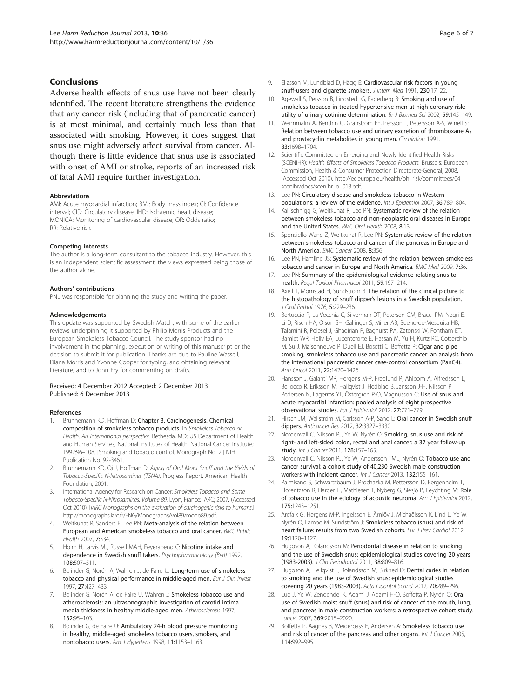# <span id="page-5-0"></span>Conclusions

Adverse health effects of snus use have not been clearly identified. The recent literature strengthens the evidence that any cancer risk (including that of pancreatic cancer) is at most minimal, and certainly much less than that associated with smoking. However, it does suggest that snus use might adversely affect survival from cancer. Although there is little evidence that snus use is associated with onset of AMI or stroke, reports of an increased risk of fatal AMI require further investigation.

#### Abbreviations

AMI: Acute myocardial infarction; BMI: Body mass index; CI: Confidence interval; CID: Circulatory disease; IHD: Ischaemic heart disease; MONICA: Monitoring of cardiovascular disease; OR: Odds ratio; RR: Relative risk.

### Competing interests

The author is a long-term consultant to the tobacco industry. However, this is an independent scientific assessment, the views expressed being those of the author alone.

#### Authors' contributions

PNL was responsible for planning the study and writing the paper.

#### Acknowledgements

This update was supported by Swedish Match, with some of the earlier reviews underpinning it supported by Philip Morris Products and the European Smokeless Tobacco Council. The study sponsor had no involvement in the planning, execution or writing of this manuscript or the decision to submit it for publication. Thanks are due to Pauline Wassell, Diana Morris and Yvonne Cooper for typing, and obtaining relevant literature, and to John Fry for commenting on drafts.

#### Received: 4 December 2012 Accepted: 2 December 2013 Published: 6 December 2013

#### References

- 1. Brunnemann KD, Hoffman D: Chapter 3. Carcinogenesis. Chemical composition of smokeless tobacco products. In Smokeless Tobacco or Health. An international perspective. Bethesda, MD: US Department of Health and Human Services, National Institutes of Health, National Cancer Institute; 1992:96–108. [Smoking and tobacco control. Monograph No. 2.] NIH Publication No. 92-3461.
- 2. Brunnemann KD, Qi J, Hoffman D: Aging of Oral Moist Snuff and the Yields of Tobacco-Specific N-Nitrosamines (TSNA), Progress Report. American Health Foundation; 2001.
- International Agency for Research on Cancer: Smokeless Tobacco and Some Tobacco-Specific N-Nitrosamines. Volume 89. Lyon, France: IARC; 2007. (Accessed Oct 2010). [IARC Monographs on the evaluation of carcinogenic risks to humans.] <http://monographs.iarc.fr/ENG/Monographs/vol89/mono89.pdf>.
- 4. Weitkunat R, Sanders E, Lee PN: Meta-analysis of the relation between European and American smokeless tobacco and oral cancer. BMC Public Health 2007, 7:334.
- 5. Holm H, Jarvis MJ, Russell MAH, Feyerabend C: Nicotine intake and dependence in Swedish snuff takers. Psychopharmacology (Berl) 1992, 108:507–511.
- 6. Bolinder G, Norén A, Wahren J, de Faire U: Long-term use of smokeless tobacco and physical performance in middle-aged men. Eur J Clin Invest 1997, 27:427–433.
- 7. Bolinder G, Norén A, de Faire U, Wahren J: Smokeless tobacco use and atherosclerosis: an ultrasonographic investigation of carotid intima media thickness in healthy middle-aged men. Atherosclerosis 1997, 132:95–103.
- Bolinder G, de Faire U: Ambulatory 24-h blood pressure monitoring in healthy, middle-aged smokeless tobacco users, smokers, and nontobacco users. Am J Hypertens 1998, 11:1153–1163.
- 9. Eliasson M, Lundblad D, Hägg E: Cardiovascular risk factors in young snuff-users and cigarette smokers. J Intern Med 1991, 230:17–22.
- 10. Agewall S, Persson B, Lindstedt G, Fagerberg B: Smoking and use of smokeless tobacco in treated hypertensive men at high coronary risk: utility of urinary cotinine determination. Br J Biomed Sci 2002, 59:145-149.
- 11. Wennmalm A, Benthin G, Granström EF, Persson L, Petersson A-S, Winell S: Relation between tobacco use and urinary excretion of thromboxane  $A_2$ and prostacyclin metabolites in young men. Circulation 1991, 83:1698–1704.
- 12. Scientific Committee on Emerging and Newly Identified Health Risks (SCENIHR): Health Effects of Smokeless Tobacco Products. Brussels: European Commission, Health & Consumer Protection Directorate-General; 2008. (Accessed Oct 2010). [http://ec.europa.eu/health/ph\\_risk/committees/04\\_](http://ec.europa.eu/health/ph_risk/committees/04_scenihr/docs/scenihr_o_013.pdf) [scenihr/docs/scenihr\\_o\\_013.pdf](http://ec.europa.eu/health/ph_risk/committees/04_scenihr/docs/scenihr_o_013.pdf).
- 13. Lee PN: Circulatory disease and smokeless tobacco in Western populations: a review of the evidence. Int J Epidemiol 2007, 36:789-804.
- 14. Kallischnigg G, Weitkunat R, Lee PN: Systematic review of the relation between smokeless tobacco and non-neoplastic oral diseases in Europe and the United States. BMC Oral Health 2008, 8:13.
- 15. Sponsiello-Wang Z, Weitkunat R, Lee PN: Systematic review of the relation between smokeless tobacco and cancer of the pancreas in Europe and North America. BMC Cancer 2008, 8:356.
- 16. Lee PN, Hamling JS: Systematic review of the relation between smokeless tobacco and cancer in Europe and North America. BMC Med 2009, 7:36.
- 17. Lee PN: Summary of the epidemiological evidence relating snus to health. Regul Toxicol Pharmacol 2011, 59:197–214.
- 18. Axéll T, Mörnstad H, Sundström B: The relation of the clinical picture to the histopathology of snuff dipper's lesions in a Swedish population. J Oral Pathol 1976, 5:229-236.
- 19. Bertuccio P, La Vecchia C, Silverman DT, Petersen GM, Bracci PM, Negri E, Li D, Risch HA, Olson SH, Gallinger S, Miller AB, Bueno-de-Mesquita HB, Talamini R, Polesel J, Ghadirian P, Baghurst PA, Zatonski W, Fontham ET, Bamlet WR, Holly EA, Lucenteforte E, Hassan M, Yu H, Kurtz RC, Cotterchio M, Su J, Maisonneuve P, Duell EJ, Bosetti C, Boffetta P: Cigar and pipe smoking, smokeless tobacco use and pancreatic cancer: an analysis from the international pancreatic cancer case-control consortium (PanC4). Ann Oncol 2011, 22:1420–1426.
- 20. Hansson J, Galanti MR, Hergens M-P, Fredlund P, Ahlbom A, Alfredsson L, Bellocco R, Eriksson M, Hallqvist J, Hedblad B, Jansson J-H, Nilsson P, Pedersen N, Lagerros YT, Östergren P-O, Magnusson C: Use of snus and acute myocardial infarction: pooled analysis of eight prospective observational studies. Eur J Epidemiol 2012, 27:771–779.
- 21. Hirsch JM, Wallström M, Carlsson A-P, Sand L: Oral cancer in Swedish snuff dippers. Anticancer Res 2012, 32:3327–3330.
- 22. Nordenvall C, Nilsson PJ, Ye W, Nyrén O: Smoking, snus use and risk of right- and left-sided colon, rectal and anal cancer: a 37 year follow-up study. Int J Cancer 2011, 128:157-165.
- 23. Nordenvall C, Nilsson PJ, Ye W, Andersson TML, Nyrén O: Tobacco use and cancer survival: a cohort study of 40,230 Swedish male construction workers with incident cancer. Int J Cancer 2013, 132:155-161.
- 24. Palmisano S, Schwartzbaum J, Prochazka M, Pettersson D, Bergenheim T, Florentzson R, Harder H, Mathiesen T, Nyberg G, Siesjö P, Feychting M: Role of tobacco use in the etiology of acoustic neuroma. Am J Epidemiol 2012, 175:1243–1251.
- 25. Arefalk G, Hergens M-P, Ingelsson E, Ärnlöv J, Michaëlsson K, Lind L, Ye W, Nyrén O, Lambe M, Sundström J: Smokeless tobacco (snus) and risk of heart failure: results from two Swedish cohorts. Eur J Prev Cardiol 2012, 19:1120–1127.
- 26. Hugoson A, Rolandsson M: Periodontal disease in relation to smoking and the use of Swedish snus: epidemiological studies covering 20 years (1983-2003). J Clin Periodontol 2011, 38:809–816.
- 27. Hugoson A, Hellgvist L, Rolandsson M, Birkhed D: Dental caries in relation to smoking and the use of Swedish snus: epidemiological studies covering 20 years (1983-2003). Acta Odontol Scand 2012, 70:289–296.
- 28. Luo J, Ye W, Zendehdel K, Adami J, Adami H-O, Boffetta P, Nyrén O: Oral use of Swedish moist snuff (snus) and risk of cancer of the mouth, lung, and pancreas in male construction workers: a retrospective cohort study. Lancet 2007, 369:2015–2020.
- 29. Boffetta P, Aagnes B, Weiderpass E, Andersen A: Smokeless tobacco use and risk of cancer of the pancreas and other organs. Int J Cancer 2005, 114:992–995.